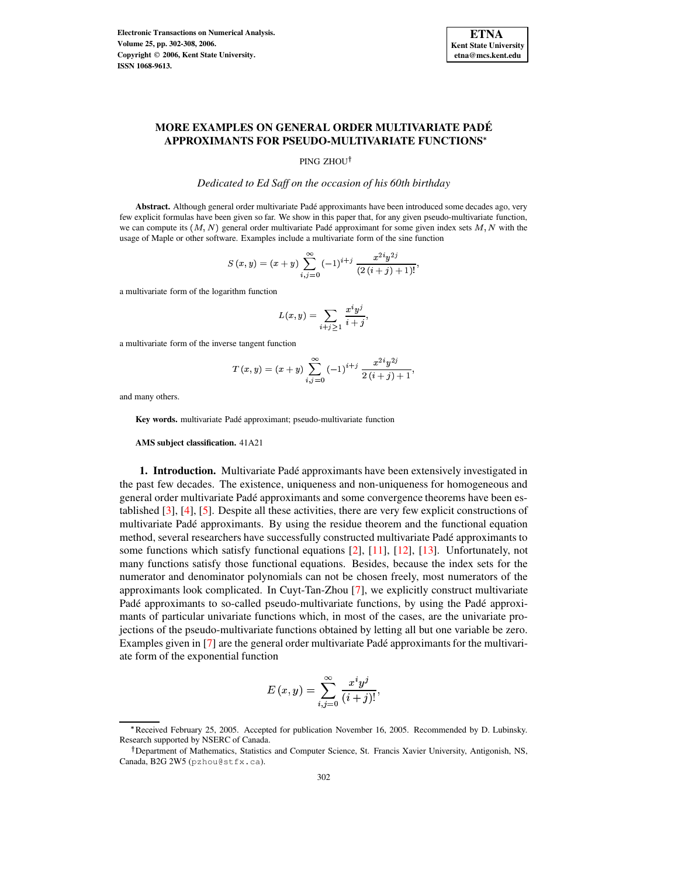

# **MORE EXAMPLES ON GENERAL ORDER MULTIVARIATE PADE´ APPROXIMANTS FOR PSEUDO-MULTIVARIATE FUNCTIONS**

PING ZHOU<sup>†</sup>

*Dedicated to Ed Saff on the occasion of his 60th birthday*

**Abstract.** Although general order multivariate Pade´ approximants have been introduced some decades ago, very few explicit formulas have been given so far. We show in this paper that, for any given pseudo-multivariate function, we can compute its  $(M, N)$  general order multivariate Padé approximant for some given index sets M, N with the usage of Maple or other software. Examples include a multivariate form of the sine function

$$
S(x,y)=(x+y)\sum_{i,j=0}^{\infty}(-1)^{i+j}\,\frac{x^{2i}y^{2j}}{(2\,(i+j)+1)!},
$$

a multivariate form of the logarithm function

$$
L(x,y)=\sum_{i+j\geq 1}\frac{x^iy^j}{i+j},
$$

a multivariate form of the inverse tangent function

$$
T(x,y) = (x + y) \sum_{i,j=0}^{\infty} (-1)^{i+j} \frac{x^{2i}y^{2j}}{2(i+j)+1},
$$

and many others.

**Key words.** multivariate Pade´ approximant; pseudo-multivariate function

**AMS subject classification.** 41A21

**1. Introduction.** Multivariate Padé approximants have been extensively investigated in the past few decades. The existence, uniqueness and non-uniqueness for homogeneous and general order multivariate Pade´ approximants and some convergence theorems have been established [\[3\]](#page-6-0), [\[4\]](#page-6-1), [\[5\]](#page-6-2). Despite all these activities, there are very few explicit constructions of multivariate Pade´ approximants. By using the residue theorem and the functional equation method, several researchers have successfully constructed multivariate Pade´ approximants to some functions which satisfy functional equations [\[2\]](#page-6-3), [\[11\]](#page-6-4), [\[12\]](#page-6-5), [\[13\]](#page-6-6). Unfortunately, not many functions satisfy those functional equations. Besides, because the index sets for the numerator and denominator polynomials can not be chosen freely, most numerators of the approximants look complicated. In Cuyt-Tan-Zhou [\[7\]](#page-6-7), we explicitly construct multivariate Padé approximants to so-called pseudo-multivariate functions, by using the Padé approximants of particular univariate functions which, in most of the cases, are the univariate projections of the pseudo-multivariate functions obtained by letting all but one variable be zero. Examples given in [\[7\]](#page-6-7) are the general order multivariate Padé approximants for the multivariate form of the exponential function

$$
E\left(x,y\right)=\sum_{i,j=0}^{\infty}\frac{x^{i}y^{j}}{\left(i+j\right)!},
$$

<sup>\*</sup> Received February 25, 2005. Accepted for publication November 16, 2005. Recommended by D. Lubinsky. Research supported by NSERC of Canada.

<sup>&</sup>lt;sup>†</sup> Department of Mathematics, Statistics and Computer Science, St. Francis Xavier University, Antigonish, NS, Canada, B2G 2W5 (pzhou@stfx.ca).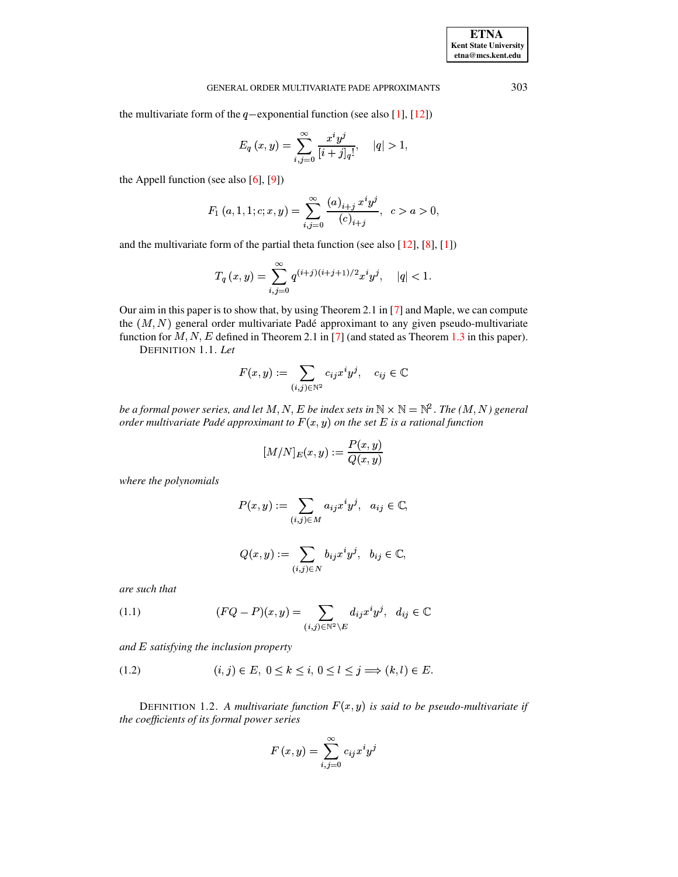the multivariate form of the  $q$ -exponential function (see also [\[1\]](#page-6-8), [\[12\]](#page-6-5))

$$
E_q\left(x,y\right)=\sum_{i,j=0}^{\infty}\frac{x^iy^j}{[i+j]_q!},\quad |q|>1,
$$

the Appell function (see also  $[6]$ ,  $[9]$ )

$$
F_1(a,1,1;c;x,y) = \sum_{i,j=0}^{\infty} \frac{(a)_{i+j} x^i y^j}{(c)_{i+j}}, \ c > a > 0,
$$

and the multivariate form of the partial theta function (see also  $[12]$ ,  $[8]$ ,  $[1]$ )

$$
T_q(x,y) = \sum_{i,j=0}^{\infty} q^{(i+j)(i+j+1)/2} x^i y^j, \quad |q| < 1.
$$

Our aim in this paper is to show that, by using Theorem 2.1 in [\[7\]](#page-6-7) and Maple, we can compute the  $(M, N)$  general order multivariate Padé approximant to any given pseudo-multivariate function for  $M, N, E$  defined in Theorem 2.1 in [\[7\]](#page-6-7) (and stated as Theorem [1.3](#page-2-0) in this paper).

DEFINITION 1.1. *Let*

$$
F(x,y):=\sum_{(i,j)\in\mathbb{N}^2}c_{ij}x^iy^j,\quad c_{ij}\in\mathbb{C}
$$

 $be$   $a$   $f$ ormal  $p$ ower  $series$ ,  $and$   $let$   $M, N, E$   $be$   $index$   $set$   $sin$   $\mathbb{N} \times \mathbb{N} = \mathbb{N}^2$  . The  $(M, N)$   $general$  $\alpha$  *order multivariate Padé approximant to*  $F(x,y)$  *on the set*  $E$  *is a rational function* 

$$
[M/N]_E(x,y):=\frac{P(x,y)}{Q(x,y)}
$$

*where the polynomials*

$$
P(x,y):=\sum_{(i,j)\in M}a_{ij}x^iy^j,\ \ a_{ij}\in\mathbb{C},
$$

$$
Q(x,y):=\sum_{(i,j)\in N}b_{ij}x^iy^j,\ \ b_{ij}\in\mathbb{C},
$$

*are such that*

(1.1) 
$$
(FQ - P)(x, y) = \sum_{(i,j) \in \mathbb{N}^2 \setminus E} d_{ij} x^i y^j, \ d_{ij} \in \mathbb{C}
$$

*and* ? *satisfying the inclusion property*

$$
(1.2) \qquad (i,j) \in E, \ 0 \le k \le i, \ 0 \le l \le j \implies (k,l) \in E.
$$

DEFINITION 1.2. A *multivariate function*  $F(x, y)$  *is said to be pseudo-multivariate if the coefficients of its formal power series*

$$
F\left(x,y\right)=\sum_{i,j=0}^{\infty}c_{ij}x^{i}y^{j}
$$

**ETNA Kent State University etna@mcs.kent.edu**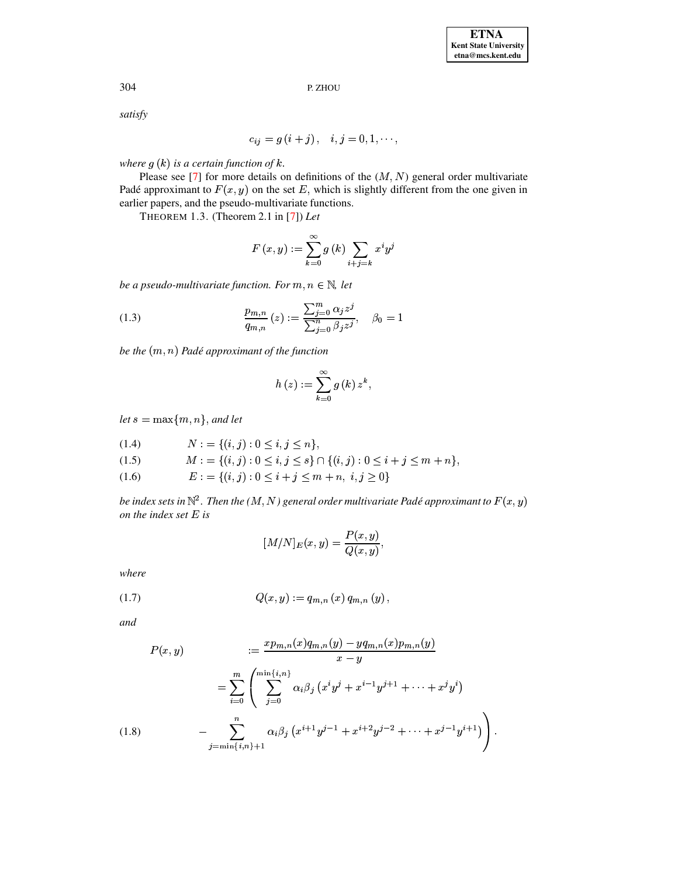P. ZHOU

satisfy

$$
c_{ij} = g(i + j), \quad i, j = 0, 1, \cdots,
$$

where  $g(k)$  is a certain function of k.

<span id="page-2-0"></span>Please see [7] for more details on definitions of the  $(M, N)$  general order multivariate Padé approximant to  $F(x, y)$  on the set E, which is slightly different from the one given in earlier papers, and the pseudo-multivariate functions.

THEOREM 1.3. (Theorem 2.1 in [7]) Let

$$
F(x,y) := \sum_{k=0}^{\infty} g(k) \sum_{i+j=k} x^i y^j
$$

be a pseudo-multivariate function. For  $m, n \in \mathbb{N}$ , let

(1.3) 
$$
\frac{p_{m,n}}{q_{m,n}}(z) := \frac{\sum_{j=0}^{m} \alpha_j z^j}{\sum_{j=0}^{n} \beta_j z^j}, \quad \beta_0 = 1
$$

be the  $(m, n)$  Padé approximant of the function

$$
h(z) := \sum_{k=0}^{\infty} g(k) z^k,
$$

let  $s = \max\{m, n\}$ , and let

$$
(1.4) \qquad \qquad N := \{ (i, j) : 0 \le i, j \le n \}
$$

- $M := \{(i, j) : 0 \le i, j \le s\} \cap \{(i, j) : 0 \le i + j \le m + n\},\$  $(1.5)$
- $E := \{(i, j) : 0 \leq i + j \leq m + n, i, j \geq 0\}$  $(1.6)$

be index sets in  $\mathbb{N}^2$ . Then the  $(M, N)$  general order multivariate Padé approximant to  $F(x, y)$ on the index set  $E$  is

$$
[M/N]_E(x,y) = \frac{P(x,y)}{Q(x,y)},
$$

where

$$
(1.7) \tQ(x,y) := q_{m,n}(x) q_{m,n}(y),
$$

and

$$
P(x,y) = \frac{xp_{m,n}(x)q_{m,n}(y) - yq_{m,n}(x)p_{m,n}(y)}{x - y}
$$

$$
= \sum_{i=0}^{m} \left( \sum_{j=0}^{\min\{i,n\}} \alpha_i \beta_j \left( x^i y^j + x^{i-1} y^{j+1} + \dots + x^j y^i \right) - \sum_{j=\min\{i,n\}+1}^{n} \alpha_i \beta_j \left( x^{i+1} y^{j-1} + x^{i+2} y^{j-2} + \dots + x^{j-1} y^{i+1} \right) \right)
$$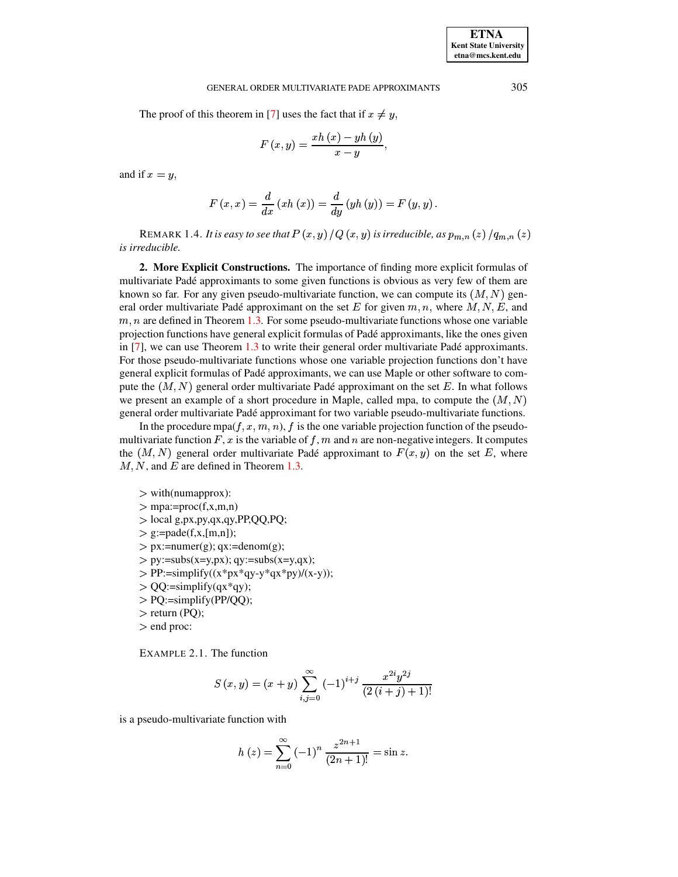# GENERAL ORDER MULTIVARIATE PADE APPROXIMANTS 305

The proof of this theorem in [\[7\]](#page-6-7) uses the fact that if  $x \neq y$ ,

$$
F\left( x,y\right) =\frac{xh\left( x\right) -yh\left( y\right) }{x-y},
$$

and if  $x=y$ ,

$$
F(x, x) = \frac{d}{dx}(xh(x)) = \frac{d}{dy}(yh(y)) = F(y, y).
$$

<code>REMARK 1.4.</code> It is easy to see that  $P\left(x,y\right)/Q\left(x,y\right)$  is irreducible, as  $p_{m,n}\left(z\right)/q_{m,n}\left(z\right)$ *is irreducible.*

**2. More Explicit Constructions.** The importance of finding more explicit formulas of multivariate Pade´ approximants to some given functions is obvious as very few of them are known so far. For any given pseudo-multivariate function, we can compute its  $(M, N)$  general order multivariate Padé approximant on the set E for given  $m, n$ , where  $M, N, E$ , and  $m, n$  are defined in Theorem [1.3.](#page-2-0) For some pseudo-multivariate functions whose one variable projection functions have general explicit formulas of Pade´ approximants, like the ones given in  $[7]$ , we can use Theorem [1.3](#page-2-0) to write their general order multivariate Padé approximants. For those pseudo-multivariate functions whose one variable projection functions don't have general explicit formulas of Pade´ approximants, we can use Maple or other software to compute the  $(M, N)$  general order multivariate Padé approximant on the set E. In what follows we present an example of a short procedure in Maple, called mpa, to compute the  $(M, N)$ general order multivariate Pade´ approximant for two variable pseudo-multivariate functions.

In the procedure mpa $(f, x, m, n)$ , f is the one variable projection function of the pseudomultivariate function F, x is the variable of f, m and n are non-negative integers. It computes the  $(M, N)$  general order multivariate Padé approximant to  $F(x, y)$  on the set E, where  ${M, N}$ , and  ${E}$  are defined in Theorem [1.3.](#page-2-0)

> with(numapprox):  $>$  mpa:=proc(f,x,m,n) <sup>b</sup> local g,px,py,qx,qy,PP,QQ,PQ;  $\ge$  g:=pade(f,x,[m,n]);  $\geq$  px:=numer(g); qx:=denom(g);  $> py:=subs(x=y,px); qy:=subs(x=y,qx);$  $\text{PP}:=\text{simplify}((x*p x*qy-y*qx*py)/(x-y));$  $>$  QQ:=simplify(qx\*qy); <sup>b</sup> PQ:=simplify(PP/QQ);  $>$  return (PQ);

<sup>b</sup> end proc:

<span id="page-3-0"></span>EXAMPLE 2.1. The function

$$
S(x,y) = (x + y) \sum_{i,j=0}^{\infty} (-1)^{i+j} \frac{x^{2i}y^{2j}}{(2(i+j) + 1)!}
$$

is a pseudo-multivariate function with

$$
h(z) = \sum_{n=0}^{\infty} (-1)^n \frac{z^{2n+1}}{(2n+1)!} = \sin z.
$$

**ETNA Kent State University etna@mcs.kent.edu**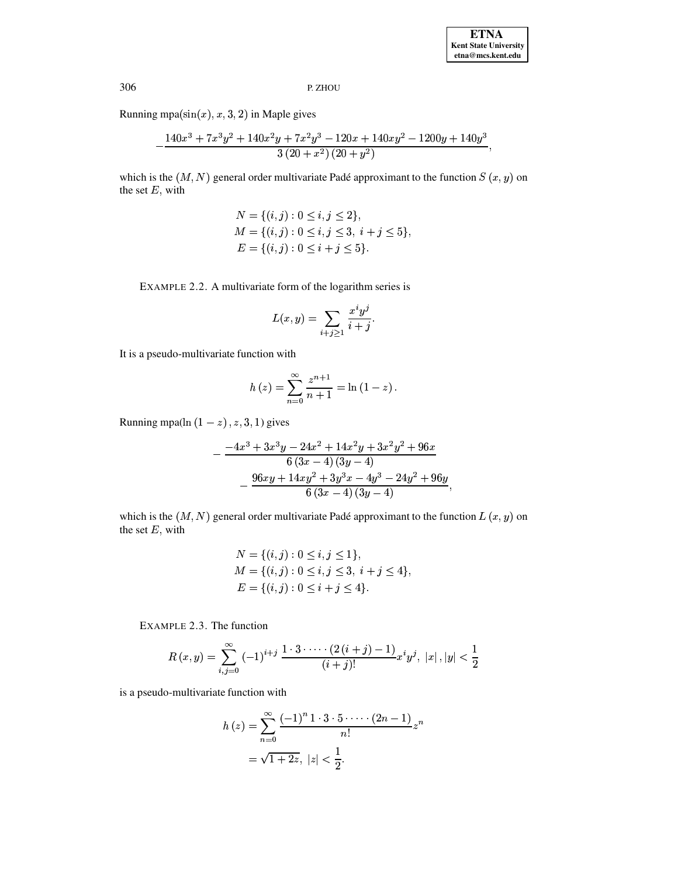P. ZHOU

Running mpa $(\sin(x), x, 3, 2)$  in Maple gives

$$
-\frac{140 x^3+7 x^3 y^2+140 x^2 y+7 x^2 y^3-120 x+140 x y^2-1200 y+140 y^3}{3 (20+x^2) (20+y^2)}
$$

which is the  $(M, N)$  general order multivariate Padé approximant to the function  $S(x, y)$  on the set  $E$ , with

$$
N = \{(i, j) : 0 \le i, j \le 2\},
$$
  
\n
$$
M = \{(i, j) : 0 \le i, j \le 3, i + j \le 5\},
$$
  
\n
$$
E = \{(i, j) : 0 \le i + j \le 5\}.
$$

EXAMPLE 2.2. A multivariate form of the logarithm series is

$$
L(x,y) = \sum_{i+j \geq 1} \frac{x^i y^j}{i+j}.
$$

It is a pseudo-multivariate function with

$$
h(z) = \sum_{n=0}^{\infty} \frac{z^{n+1}}{n+1} = \ln(1-z).
$$

Running mpa(ln  $(1 - z)$ , z, 3, 1) gives

$$
-\frac{-4x^3+3x^3y-24x^2+14x^2y+3x^2y^2+96x}{6(3x-4)(3y-4)}\\-\frac{96xy+14xy^2+3y^3x-4y^3-24y^2+96y}{6(3x-4)(3y-4)},
$$

which is the  $(M, N)$  general order multivariate Padé approximant to the function  $L(x, y)$  on the set  $E$ , with

$$
N = \{(i, j) : 0 \le i, j \le 1\},
$$
  
\n
$$
M = \{(i, j) : 0 \le i, j \le 3, i + j \le 4\},
$$
  
\n
$$
E = \{(i, j) : 0 \le i + j \le 4\}.
$$

EXAMPLE 2.3. The function

$$
R(x,y) = \sum_{i,j=0}^{\infty} (-1)^{i+j} \frac{1 \cdot 3 \cdot \dots \cdot (2 (i+j)-1)}{(i+j)!} x^i y^j, \ |x|, |y| < \frac{1}{2}
$$

is a pseudo-multivariate function with

$$
h(z) = \sum_{n=0}^{\infty} \frac{(-1)^n 1 \cdot 3 \cdot 5 \cdot \cdots (2n-1)}{n!} z^n
$$
  
=  $\sqrt{1+2z}$ ,  $|z| < \frac{1}{2}$ .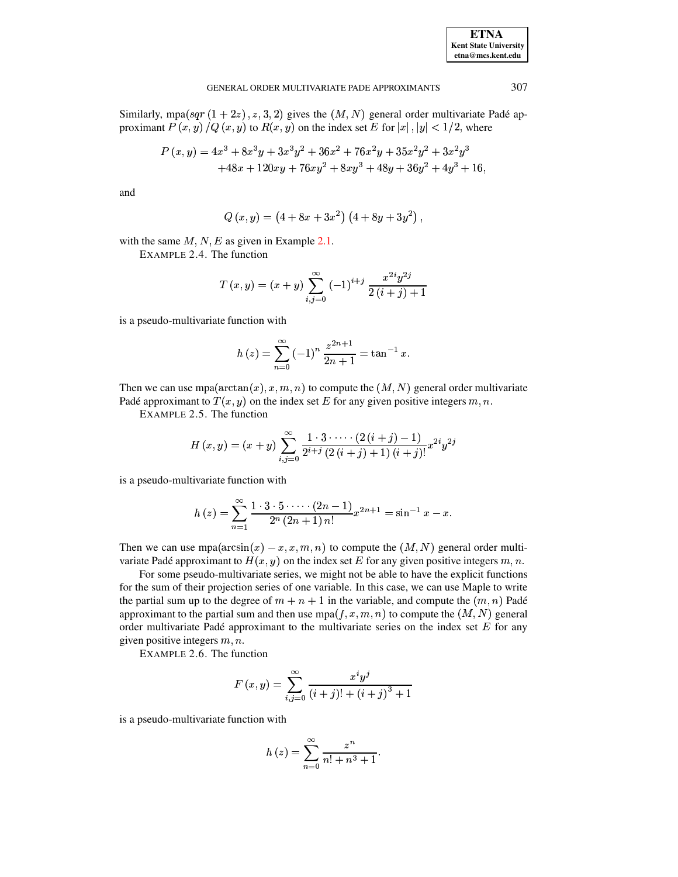| <b>ETNA</b>                  |
|------------------------------|
| <b>Kent State University</b> |
| etna@mcs.kent.edu            |

#### GENERAL ORDER MULTIVARIATE PADE APPROXIMANTS

Similarly, mpa $(sqr(1+2z), z, 3, 2)$  gives the  $(M, N)$  general order multivariate Padé approximant  $P(x, y)/Q(x, y)$  to  $R(x, y)$  on the index set E for  $|x|, |y| < 1/2$ , where

$$
P(x,y) = 4x^3 + 8x^3y + 3x^3y^2 + 36x^2 + 76x^2y + 35x^2y^2 + 3x^2y^3
$$
  
+48x + 120xy + 76xy<sup>2</sup> + 8xy<sup>3</sup> + 48y + 36y<sup>2</sup> + 4y<sup>3</sup> + 16,

and

$$
Q(x,y) = (4 + 8x + 3x^{2}) (4 + 8y + 3y^{2})
$$

with the same  $M, N, E$  as given in Example 2.1.

EXAMPLE 2.4. The function

$$
T(x,y) = (x+y) \sum_{i,j=0}^{\infty} (-1)^{i+j} \frac{x^{2i}y^{2j}}{2(i+j)+1}
$$

is a pseudo-multivariate function with

$$
h(z) = \sum_{n=0}^{\infty} (-1)^n \frac{z^{2n+1}}{2n+1} = \tan^{-1} x.
$$

Then we can use mpa( $arctan(x)$ , x, m, n) to compute the  $(M, N)$  general order multivariate Padé approximant to  $T(x, y)$  on the index set E for any given positive integers  $m, n$ .

EXAMPLE 2.5. The function

$$
H(x,y) = (x + y) \sum_{i,j=0}^{\infty} \frac{1 \cdot 3 \cdot \dots \cdot (2 (i + j) - 1)}{2^{i+j} (2 (i + j) + 1) (i + j)!} x^{2i} y^{2j}
$$

is a pseudo-multivariate function with

$$
h(z) = \sum_{n=1}^{\infty} \frac{1 \cdot 3 \cdot 5 \cdot \cdots \cdot (2n-1)}{2^n (2n+1) n!} x^{2n+1} = \sin^{-1} x - x.
$$

Then we can use  $mpa(arcsin(x) - x, x, m, n)$  to compute the  $(M, N)$  general order multivariate Padé approximant to  $H(x, y)$  on the index set E for any given positive integers m, n.

For some pseudo-multivariate series, we might not be able to have the explicit functions for the sum of their projection series of one variable. In this case, we can use Maple to write the partial sum up to the degree of  $m + n + 1$  in the variable, and compute the  $(m, n)$  Padé approximant to the partial sum and then use  $mpa(f, x, m, n)$  to compute the  $(M, N)$  general order multivariate Padé approximant to the multivariate series on the index set  $E$  for any given positive integers  $m, n$ .

EXAMPLE 2.6. The function

$$
F(x,y) = \sum_{i,j=0}^{\infty} \frac{x^i y^j}{(i+j)! + (i+j)^3 + 1}
$$

is a pseudo-multivariate function with

$$
h(z) = \sum_{n=0}^{\infty} \frac{z^n}{n! + n^3 + 1}.
$$